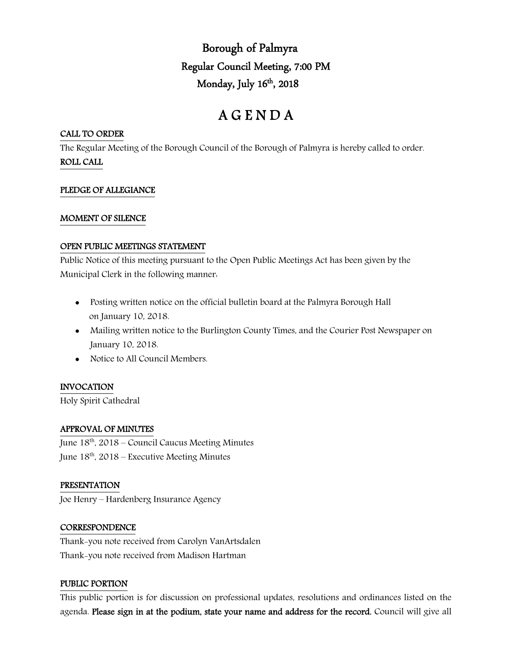Borough of Palmyra Regular Council Meeting, 7:00 PM Monday, July  $16<sup>th</sup>$ , 2018

# A G E N D A

## CALL TO ORDER

The Regular Meeting of the Borough Council of the Borough of Palmyra is hereby called to order. ROLL CALL

## PLEDGE OF ALLEGIANCE

## MOMENT OF SILENCE

#### OPEN PUBLIC MEETINGS STATEMENT

Public Notice of this meeting pursuant to the Open Public Meetings Act has been given by the Municipal Clerk in the following manner:

- Posting written notice on the official bulletin board at the Palmyra Borough Hall on January 10, 2018.
- Mailing written notice to the Burlington County Times, and the Courier Post Newspaper on January 10, 2018.
- Notice to All Council Members.

## INVOCATION

Holy Spirit Cathedral

## APPROVAL OF MINUTES

June 18th, 2018 – Council Caucus Meeting Minutes June  $18^{th}$ , 2018 – Executive Meeting Minutes

## PRESENTATION

Joe Henry – Hardenberg Insurance Agency

## **CORRESPONDENCE**

Thank-you note received from Carolyn VanArtsdalen Thank-you note received from Madison Hartman

## PUBLIC PORTION

This public portion is for discussion on professional updates, resolutions and ordinances listed on the agenda. Please sign in at the podium, state your name and address for the record. Council will give all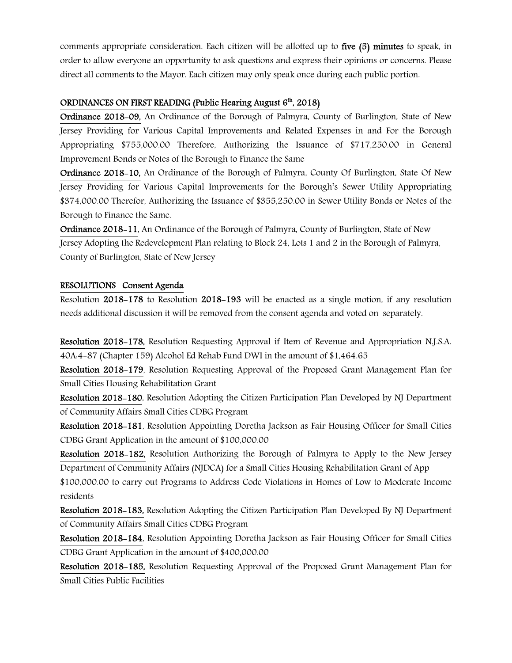comments appropriate consideration. Each citizen will be allotted up to five (5) minutes to speak, in order to allow everyone an opportunity to ask questions and express their opinions or concerns. Please direct all comments to the Mayor. Each citizen may only speak once during each public portion.

## ORDINANCES ON FIRST READING (Public Hearing August  $6<sup>th</sup>$ , 2018)

Ordinance 2018-09, An Ordinance of the Borough of Palmyra, County of Burlington, State of New Jersey Providing for Various Capital Improvements and Related Expenses in and For the Borough Appropriating \$755,000.00 Therefore, Authorizing the Issuance of \$717,250.00 in General Improvement Bonds or Notes of the Borough to Finance the Same

Ordinance 2018-10, An Ordinance of the Borough of Palmyra, County Of Burlington, State Of New Jersey Providing for Various Capital Improvements for the Borough's Sewer Utility Appropriating \$374,000.00 Therefor, Authorizing the Issuance of \$355,250.00 in Sewer Utility Bonds or Notes of the Borough to Finance the Same.

Ordinance 2018-11, An Ordinance of the Borough of Palmyra, County of Burlington, State of New Jersey Adopting the Redevelopment Plan relating to Block 24, Lots 1 and 2 in the Borough of Palmyra, County of Burlington, State of New Jersey

## RESOLUTIONS Consent Agenda

Resolution 2018-178 to Resolution 2018-193 will be enacted as a single motion, if any resolution needs additional discussion it will be removed from the consent agenda and voted on separately.

Resolution 2018-178, Resolution Requesting Approval if Item of Revenue and Appropriation N.J.S.A. 40A:4-87 (Chapter 159) Alcohol Ed Rehab Fund DWI in the amount of \$1,464.65

Resolution 2018-179, Resolution Requesting Approval of the Proposed Grant Management Plan for Small Cities Housing Rehabilitation Grant

Resolution 2018-180, Resolution Adopting the Citizen Participation Plan Developed by NJ Department of Community Affairs Small Cities CDBG Program

Resolution 2018-181, Resolution Appointing Doretha Jackson as Fair Housing Officer for Small Cities CDBG Grant Application in the amount of \$100,000.00

Resolution 2018-182, Resolution Authorizing the Borough of Palmyra to Apply to the New Jersey Department of Community Affairs (NJDCA) for a Small Cities Housing Rehabilitation Grant of App

\$100,000.00 to carry out Programs to Address Code Violations in Homes of Low to Moderate Income residents

Resolution 2018-183, Resolution Adopting the Citizen Participation Plan Developed By NJ Department of Community Affairs Small Cities CDBG Program

Resolution 2018-184, Resolution Appointing Doretha Jackson as Fair Housing Officer for Small Cities CDBG Grant Application in the amount of \$400,000.00

Resolution 2018-185, Resolution Requesting Approval of the Proposed Grant Management Plan for Small Cities Public Facilities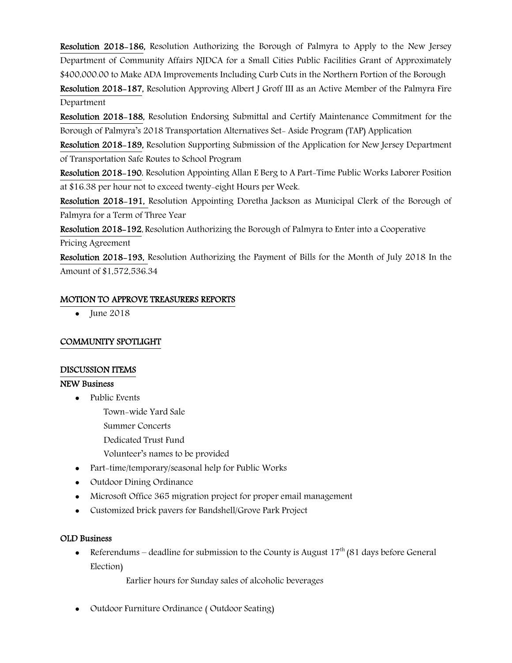Resolution 2018-186, Resolution Authorizing the Borough of Palmyra to Apply to the New Jersey Department of Community Affairs NJDCA for a Small Cities Public Facilities Grant of Approximately \$400,000.00 to Make ADA Improvements Including Curb Cuts in the Northern Portion of the Borough

Resolution 2018-187, Resolution Approving Albert J Groff III as an Active Member of the Palmyra Fire Department

Resolution 2018-188, Resolution Endorsing Submittal and Certify Maintenance Commitment for the Borough of Palmyra's 2018 Transportation Alternatives Set- Aside Program (TAP) Application

Resolution 2018-189, Resolution Supporting Submission of the Application for New Jersey Department of Transportation Safe Routes to School Program

Resolution 2018-190, Resolution Appointing Allan E Berg to A Part-Time Public Works Laborer Position at \$16.38 per hour not to exceed twenty-eight Hours per Week.

Resolution 2018-191, Resolution Appointing Doretha Jackson as Municipal Clerk of the Borough of Palmyra for a Term of Three Year

Resolution 2018-192, Resolution Authorizing the Borough of Palmyra to Enter into a Cooperative Pricing Agreement

Resolution 2018-193, Resolution Authorizing the Payment of Bills for the Month of July 2018 In the Amount of \$1,572,536.34

# MOTION TO APPROVE TREASURERS REPORTS

 $\bullet$  June 2018

# COMMUNITY SPOTLIGHT

## DISCUSSION ITEMS

## NEW Business

- Public Events
	- Town-wide Yard Sale
	- Summer Concerts
	- Dedicated Trust Fund
	- Volunteer's names to be provided
- Part-time/temporary/seasonal help for Public Works
- Outdoor Dining Ordinance
- Microsoft Office 365 migration project for proper email management
- Customized brick pavers for Bandshell/Grove Park Project

## OLD Business

• Referendums – deadline for submission to the County is August  $17<sup>th</sup>$  (81 days before General Election)

Earlier hours for Sunday sales of alcoholic beverages

Outdoor Furniture Ordinance ( Outdoor Seating)